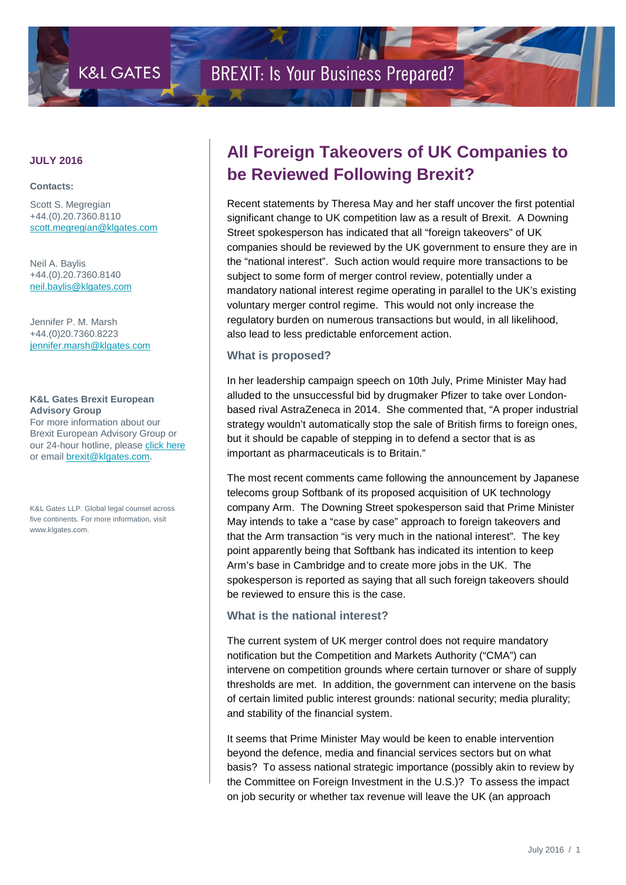#### **Contacts:**

Scott S. Megregian +44.(0).20.7360.8110 [scott.megregian@klgates.com](mailto:scott.megregian@klgates.com)

Neil A. Baylis +44.(0).20.7360.8140 [neil.baylis@klgates.com](mailto:neil.baylis@klgates.com)

Jennifer P. M. Marsh +44.(0)20.7360.8223 [jennifer.marsh@klgates.com](mailto:jennifer.marsh@klgates.com)

#### **K&L Gates Brexit European Advisory Group**

For more information about our Brexit European Advisory Group or our 24-hour hotline, please [click here](http://www.klgates.com/brexit/) or email [brexit@klgates.com.](mailto:brexit@klgates.com)

K&L Gates LLP. Global legal counsel across five continents. For more information, visit www.klgates.com.

## **JULY 2016 All Foreign Takeovers of UK Companies to be Reviewed Following Brexit?**

Recent statements by Theresa May and her staff uncover the first potential significant change to UK competition law as a result of Brexit. A Downing Street spokesperson has indicated that all "foreign takeovers" of UK companies should be reviewed by the UK government to ensure they are in the "national interest". Such action would require more transactions to be subject to some form of merger control review, potentially under a mandatory national interest regime operating in parallel to the UK's existing voluntary merger control regime. This would not only increase the regulatory burden on numerous transactions but would, in all likelihood, also lead to less predictable enforcement action.

#### **What is proposed?**

In her leadership campaign speech on 10th July, Prime Minister May had alluded to the unsuccessful bid by drugmaker Pfizer to take over Londonbased rival AstraZeneca in 2014. She commented that, "A proper industrial strategy wouldn't automatically stop the sale of British firms to foreign ones, but it should be capable of stepping in to defend a sector that is as important as pharmaceuticals is to Britain."

The most recent comments came following the announcement by Japanese telecoms group Softbank of its proposed acquisition of UK technology company Arm. The Downing Street spokesperson said that Prime Minister May intends to take a "case by case" approach to foreign takeovers and that the Arm transaction "is very much in the national interest". The key point apparently being that Softbank has indicated its intention to keep Arm's base in Cambridge and to create more jobs in the UK. The spokesperson is reported as saying that all such foreign takeovers should be reviewed to ensure this is the case.

### **What is the national interest?**

The current system of UK merger control does not require mandatory notification but the Competition and Markets Authority ("CMA") can intervene on competition grounds where certain turnover or share of supply thresholds are met. In addition, the government can intervene on the basis of certain limited public interest grounds: national security; media plurality; and stability of the financial system.

It seems that Prime Minister May would be keen to enable intervention beyond the defence, media and financial services sectors but on what basis? To assess national strategic importance (possibly akin to review by the Committee on Foreign Investment in the U.S.)? To assess the impact on job security or whether tax revenue will leave the UK (an approach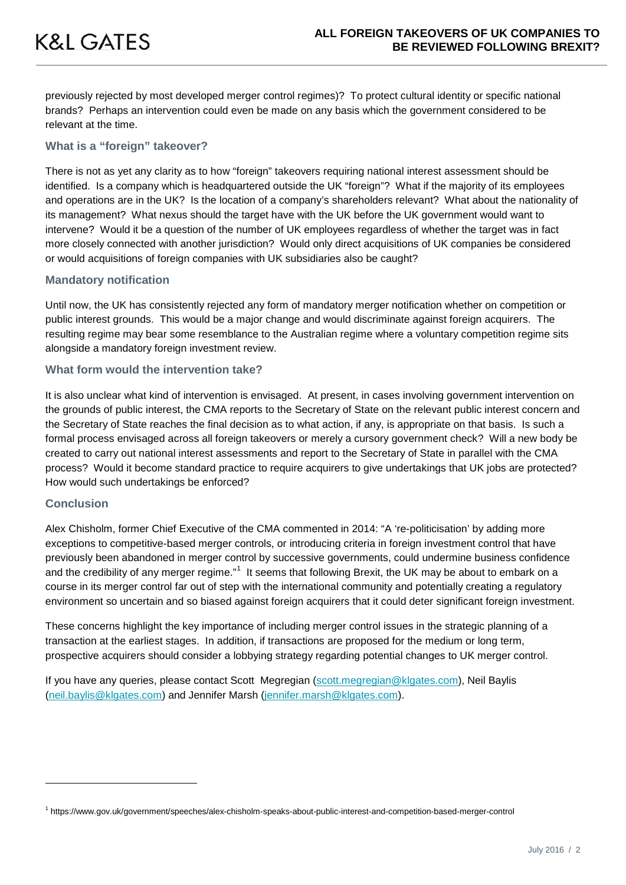previously rejected by most developed merger control regimes)? To protect cultural identity or specific national brands? Perhaps an intervention could even be made on any basis which the government considered to be relevant at the time.

#### **What is a "foreign" takeover?**

There is not as yet any clarity as to how "foreign" takeovers requiring national interest assessment should be identified. Is a company which is headquartered outside the UK "foreign"? What if the majority of its employees and operations are in the UK? Is the location of a company's shareholders relevant? What about the nationality of its management? What nexus should the target have with the UK before the UK government would want to intervene? Would it be a question of the number of UK employees regardless of whether the target was in fact more closely connected with another jurisdiction? Would only direct acquisitions of UK companies be considered or would acquisitions of foreign companies with UK subsidiaries also be caught?

#### **Mandatory notification**

Until now, the UK has consistently rejected any form of mandatory merger notification whether on competition or public interest grounds. This would be a major change and would discriminate against foreign acquirers. The resulting regime may bear some resemblance to the Australian regime where a voluntary competition regime sits alongside a mandatory foreign investment review.

#### **What form would the intervention take?**

It is also unclear what kind of intervention is envisaged. At present, in cases involving government intervention on the grounds of public interest, the CMA reports to the Secretary of State on the relevant public interest concern and the Secretary of State reaches the final decision as to what action, if any, is appropriate on that basis. Is such a formal process envisaged across all foreign takeovers or merely a cursory government check? Will a new body be created to carry out national interest assessments and report to the Secretary of State in parallel with the CMA process? Would it become standard practice to require acquirers to give undertakings that UK jobs are protected? How would such undertakings be enforced?

#### **Conclusion**

j

Alex Chisholm, former Chief Executive of the CMA commented in 2014: "A 're-politicisation' by adding more exceptions to competitive-based merger controls, or introducing criteria in foreign investment control that have previously been abandoned in merger control by successive governments, could undermine business confidence and the credibility of any merger regime."<sup>[1](#page-1-0)</sup> It seems that following Brexit, the UK may be about to embark on a course in its merger control far out of step with the international community and potentially creating a regulatory environment so uncertain and so biased against foreign acquirers that it could deter significant foreign investment.

These concerns highlight the key importance of including merger control issues in the strategic planning of a transaction at the earliest stages. In addition, if transactions are proposed for the medium or long term, prospective acquirers should consider a lobbying strategy regarding potential changes to UK merger control.

If you have any queries, please contact Scott Megregian [\(scott.megregian@klgates.com\)](mailto:scott.megregian@klgates.com), Neil Baylis [\(neil.baylis@klgates.com\)](mailto:neil.baylis@klgates.com) and Jennifer Marsh [\(jennifer.marsh@klgates.com\)](mailto:jennifer.marsh@klgates.com).

<span id="page-1-0"></span><sup>1</sup> https://www.gov.uk/government/speeches/alex-chisholm-speaks-about-public-interest-and-competition-based-merger-control